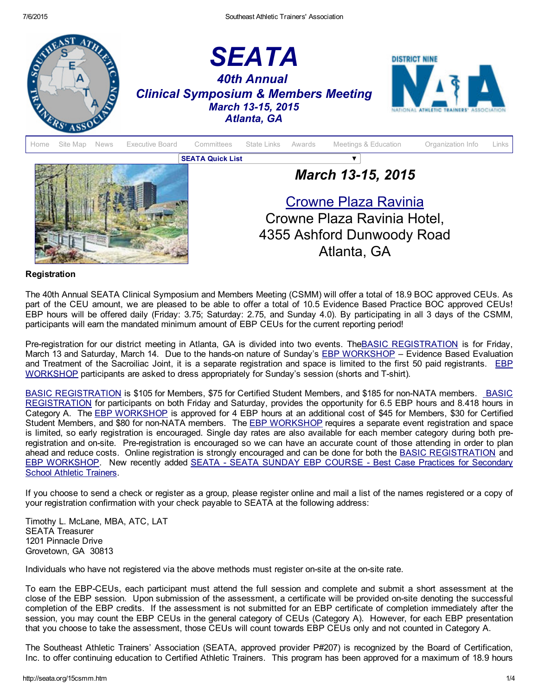



## Registration

The 40th Annual SEATA Clinical Symposium and Members Meeting (CSMM) will offer a total of 18.9 BOC approved CEUs. As part of the CEU amount, we are pleased to be able to offer a total of 10.5 Evidence Based Practice BOC approved CEUs! EBP hours will be offered daily (Friday: 3.75; Saturday: 2.75, and Sunday 4.0). By participating in all 3 days of the CSMM, participants will earn the mandated minimum amount of EBP CEUs for the current reporting period!

Pre-registration for our district meeting in Atlanta, GA is divided into two events. The BASIC [REGISTRATION](http://seata.wildapricot.org/event-1844205) is for Friday, March 13 and Saturday, March 14. Due to the hands-on nature of Sunday's EBP [WORKSHOP](http://seata.wildapricot.org/event-1721178) – Evidence Based Evaluation and Treatment of the Sacroiliac Joint, it is a separate registration and space is limited to the first 50 paid registrants. EBP [WORKSHOP](http://seata.wildapricot.org/event-1721178) participants are asked to dress appropriately for Sunday's session (shorts and T-shirt).

BASIC [REGISTRATION](http://seata.wildapricot.org/event-1844205) is \$105 for Members, \$75 for Certified Student Members, and \$185 for non-NATA members. BASIC REGISTRATION for participants on both Friday and Saturday, provides the opportunity for 6.5 EBP hours and 8.418 hours in Category A. The EBP [WORKSHOP](http://seata.wildapricot.org/event-1721178) is approved for 4 EBP hours at an additional cost of \$45 for Members, \$30 for Certified Student Members, and \$80 for non-NATA members. The **EBP [WORKSHOP](http://seata.wildapricot.org/event-1721178)** requires a separate event registration and space is limited, so early registration is encouraged. Single day rates are also available for each member category during both preregistration and onsite. Preregistration is encouraged so we can have an accurate count of those attending in order to plan ahead and reduce costs. Online registration is strongly encouraged and can be done for both the **BASIC [REGISTRATION](http://seata.wildapricot.org/event-1844205)** and EBP [WORKSHOP](http://seata.wildapricot.org/event-1721178)[.](http://seata.wildapricot.org/event-1871680) New recently added SEATA - SEATA SUNDAY EBP COURSE - Best Case Practices for Secondary School Athletic Trainers.

If you choose to send a check or register as a group, please register online and mail a list of the names registered or a copy of your registration confirmation with your check payable to SEATA at the following address:

Timothy L. McLane, MBA, ATC, LAT SEATA Treasurer 1201 Pinnacle Drive Grovetown, GA 30813

Individuals who have not registered via the above methods must register on-site at the on-site rate.

To earn the EBPCEUs, each participant must attend the full session and complete and submit a short assessment at the close of the EBP session. Upon submission of the assessment, a certificate will be provided onsite denoting the successful completion of the EBP credits. If the assessment is not submitted for an EBP certificate of completion immediately after the session, you may count the EBP CEUs in the general category of CEUs (Category A). However, for each EBP presentation that you choose to take the assessment, those CEUs will count towards EBP CEUs only and not counted in Category A.

The Southeast Athletic Trainers' Association (SEATA, approved provider P#207) is recognized by the Board of Certification, Inc. to offer continuing education to Certified Athletic Trainers. This program has been approved for a maximum of 18.9 hours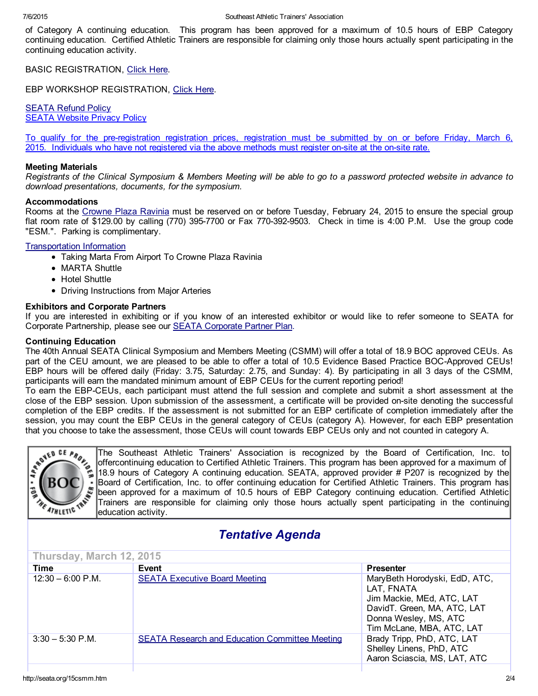of Category A continuing education. This program has been approved for a maximum of 10.5 hours of EBP Category continuing education. Certified Athletic Trainers are responsible for claiming only those hours actually spent participating in the continuing education activity.

BASIC REGISTRATION, [Click](http://seata.wildapricot.org/event-1844205) Here.

EBP WORKSHOP REGISTRATION, [Click](http://seata.wildapricot.org/event-1721178) Here.

**[SEATA](http://www.seata.org/refund.htm) Refund Policy** SEATA [Website](http://seata.org/privacy.htm) Privacy Policy

To qualify for the preregistration registration prices, registration must be submitted by on or before Friday, March 6, 2015. Individuals who have not registered via the above methods must register onsite at the onsite rate.

#### Meeting Materials

Registrants of the Clinical Symposium & Members Meeting will be able to go to a password protected website in advance to *download presentations, documents, for the symposium.*

#### Accommodations

Rooms at the [Crowne](http://www.crowneplaza.com/redirect?path=hd&brandCode=cp&localeCode=en®ionCode=1&hotelCode=ATLCP&_PMID=99801505&GPC=SD1) Plaza Ravinia must be reserved on or before Tuesday, February 24, 2015 to ensure the special group flat room rate of \$129.00 by calling (770) 395-7700 or Fax 770-392-9503. Check in time is 4:00 P.M. Use the group code "ESM.". Parking is complimentary.

## [Transportation](http://www.seata.org/07atss/MARTAtoCrownePlazafromAirport.doc) Information

- Taking Marta From Airport To Crowne Plaza Ravinia
- MARTA Shuttle
- Hotel Shuttle
- Driving Instructions from Major Arteries

## Exhibitors and Corporate Partners

If you are interested in exhibiting or if you know of an interested exhibitor or would like to refer someone to SEATA for Corporate Partnership, please see our SEATA [Corporate](http://seata.org/cpp.htm) Partner Plan.

## Continuing Education

The 40th Annual SEATA Clinical Symposium and Members Meeting (CSMM) will offer a total of 18.9 BOC approved CEUs. As part of the CEU amount, we are pleased to be able to offer a total of 10.5 Evidence Based Practice BOC-Approved CEUs! EBP hours will be offered daily (Friday: 3.75, Saturday: 2.75, and Sunday: 4). By participating in all 3 days of the CSMM, participants will earn the mandated minimum amount of EBP CEUs for the current reporting period!

To earn the EBPCEUs, each participant must attend the full session and complete and submit a short assessment at the close of the EBP session. Upon submission of the assessment, a certificate will be provided onsite denoting the successful completion of the EBP credits. If the assessment is not submitted for an EBP certificate of completion immediately after the session, you may count the EBP CEUs in the general category of CEUs (category A). However, for each EBP presentation that you choose to take the assessment, those CEUs will count towards EBP CEUs only and not counted in category A.



The Southeast Athletic Trainers' Association is recognized by the Board of Certification, Inc. to The Southeast Athletic Trainers' Association is recognized by the Board of Certification, Inc. to The Southeast Athletic Tr offercontinuing education to Certified Athletic Trainers. This program has been approved for a maximum of 18.9 hours of Category A continuing education. SEATA, approved provider # P207 is recognized by the Board of Certification, Inc. to offer continuing education for Certified Athletic Trainers. This program has been approved for a maximum of 10.5 hours of EBP Category continuing education. Certified Athletic Trainers are responsible for claiming only those hours actually spent participating in the continuing education activity.

# *Tentative Agenda*

| Thursday, March 12, 2015 |                                                       |                                                                                                                                                               |  |  |
|--------------------------|-------------------------------------------------------|---------------------------------------------------------------------------------------------------------------------------------------------------------------|--|--|
| <b>Time</b>              | Event                                                 | <b>Presenter</b>                                                                                                                                              |  |  |
| $12:30 - 6:00$ P.M.      | <b>SEATA Executive Board Meeting</b>                  | MaryBeth Horodyski, EdD, ATC,<br>LAT, FNATA<br>Jim Mackie, MEd, ATC, LAT<br>DavidT. Green, MA, ATC, LAT<br>Donna Wesley, MS, ATC<br>Tim McLane, MBA, ATC, LAT |  |  |
| $3:30 - 5:30$ P.M.       | <b>SEATA Research and Education Committee Meeting</b> | Brady Tripp, PhD, ATC, LAT<br>Shelley Linens, PhD, ATC<br>Aaron Sciascia, MS, LAT, ATC                                                                        |  |  |
|                          |                                                       |                                                                                                                                                               |  |  |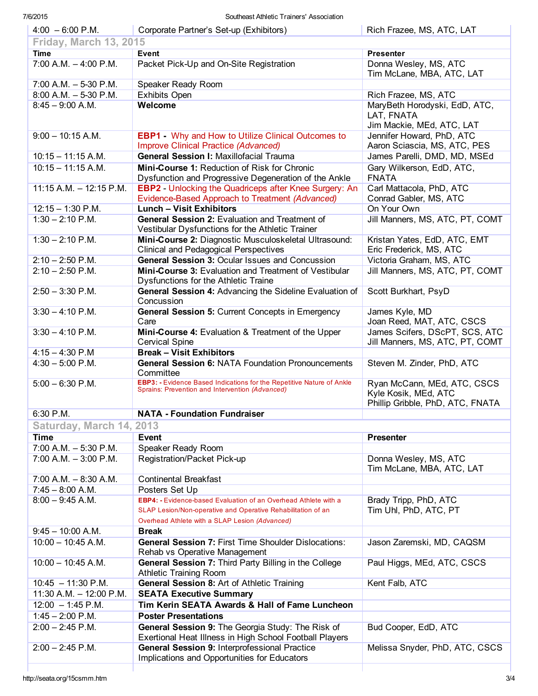| $4:00 - 6:00$ P.M.            | Corporate Partner's Set-up (Exhibitors)                                                                                         | Rich Frazee, MS, ATC, LAT                           |
|-------------------------------|---------------------------------------------------------------------------------------------------------------------------------|-----------------------------------------------------|
| <b>Friday, March 13, 2015</b> |                                                                                                                                 |                                                     |
| <b>Time</b>                   | <b>Event</b>                                                                                                                    | <b>Presenter</b>                                    |
| $7:00$ A.M. $-4:00$ P.M.      | Packet Pick-Up and On-Site Registration                                                                                         | Donna Wesley, MS, ATC                               |
|                               |                                                                                                                                 | Tim McLane, MBA, ATC, LAT                           |
| $7:00$ A.M. $-5-30$ P.M.      | Speaker Ready Room                                                                                                              |                                                     |
| $8:00$ A.M. $-5-30$ P.M.      | <b>Exhibits Open</b>                                                                                                            | Rich Frazee, MS, ATC                                |
| $8:45 - 9:00$ A.M.            | Welcome                                                                                                                         | MaryBeth Horodyski, EdD, ATC,                       |
|                               |                                                                                                                                 | LAT, FNATA                                          |
|                               |                                                                                                                                 | Jim Mackie, MEd, ATC, LAT                           |
| $9:00 - 10:15$ A.M.           | <b>EBP1</b> Why and How to Utilize Clinical Outcomes to                                                                         | Jennifer Howard, PhD, ATC                           |
|                               | Improve Clinical Practice (Advanced)                                                                                            | Aaron Sciascia, MS, ATC, PES                        |
| $10:15 - 11:15 A.M.$          | <b>General Session I: Maxillofacial Trauma</b>                                                                                  | James Parelli, DMD, MD, MSEd                        |
| $10:15 - 11:15 A.M.$          | Mini-Course 1: Reduction of Risk for Chronic                                                                                    | Gary Wilkerson, EdD, ATC,                           |
|                               | Dysfunction and Progressive Degeneration of the Ankle                                                                           | <b>FNATA</b>                                        |
| $11:15$ A.M. $-12:15$ P.M.    | <b>EBP2</b> - Unlocking the Quadriceps after Knee Surgery: An                                                                   | Carl Mattacola, PhD, ATC                            |
|                               | Evidence-Based Approach to Treatment (Advanced)                                                                                 | Conrad Gabler, MS, ATC                              |
| $12:15 - 1:30$ P.M.           | <b>Lunch - Visit Exhibitors</b>                                                                                                 | On Your Own                                         |
| $1:30 - 2:10$ P.M.            | General Session 2: Evaluation and Treatment of                                                                                  | Jill Manners, MS, ATC, PT, COMT                     |
|                               | Vestibular Dysfunctions for the Athletic Trainer                                                                                |                                                     |
| $1:30 - 2:10$ P.M.            | Mini-Course 2: Diagnostic Musculoskeletal Ultrasound:                                                                           | Kristan Yates, EdD, ATC, EMT                        |
|                               | <b>Clinical and Pedagogical Perspectives</b>                                                                                    | Eric Frederick, MS, ATC                             |
| $2:10 - 2:50$ P.M.            | <b>General Session 3: Ocular Issues and Concussion</b>                                                                          | Victoria Graham, MS, ATC                            |
| $2:10 - 2:50$ P.M.            | Mini-Course 3: Evaluation and Treatment of Vestibular                                                                           | Jill Manners, MS, ATC, PT, COMT                     |
|                               | Dysfunctions for the Athletic Traine                                                                                            |                                                     |
| $2:50 - 3:30$ P.M.            | General Session 4: Advancing the Sideline Evaluation of                                                                         | Scott Burkhart, PsyD                                |
|                               | Concussion                                                                                                                      |                                                     |
| $3:30 - 4:10$ P.M.            | General Session 5: Current Concepts in Emergency                                                                                | James Kyle, MD                                      |
|                               | Care                                                                                                                            | Joan Reed, MAT, ATC, CSCS                           |
| $3:30 - 4:10$ P.M.            | Mini-Course 4: Evaluation & Treatment of the Upper                                                                              | James Scifers, DScPT, SCS, ATC                      |
|                               | <b>Cervical Spine</b>                                                                                                           | Jill Manners, MS, ATC, PT, COMT                     |
|                               |                                                                                                                                 |                                                     |
|                               |                                                                                                                                 |                                                     |
| $4:15 - 4:30$ P.M             | <b>Break - Visit Exhibitors</b>                                                                                                 |                                                     |
| $4:30 - 5:00$ P.M.            | <b>General Session 6: NATA Foundation Pronouncements</b><br>Committee                                                           | Steven M. Zinder, PhD, ATC                          |
| $5:00 - 6:30$ P.M.            | <b>EBP3: -</b> Evidence Based Indications for the Repetitive Nature of Ankle                                                    |                                                     |
|                               | Sprains: Prevention and Intervention (Advanced)                                                                                 | Ryan McCann, MEd, ATC, CSCS<br>Kyle Kosik, MEd, ATC |
|                               |                                                                                                                                 | Phillip Gribble, PhD, ATC, FNATA                    |
| 6:30 P.M.                     | <b>NATA - Foundation Fundraiser</b>                                                                                             |                                                     |
|                               |                                                                                                                                 |                                                     |
| Saturday, March 14, 2013      |                                                                                                                                 |                                                     |
| <b>Time</b>                   | <b>Event</b>                                                                                                                    | <b>Presenter</b>                                    |
| $7:00$ A.M. $-5:30$ P.M.      | Speaker Ready Room                                                                                                              |                                                     |
| $7:00$ A.M. $-3:00$ P.M.      | Registration/Packet Pick-up                                                                                                     | Donna Wesley, MS, ATC                               |
|                               |                                                                                                                                 | Tim McLane, MBA, ATC, LAT                           |
| $7:00$ A.M. $-8:30$ A.M.      | <b>Continental Breakfast</b><br>Posters Set Up                                                                                  |                                                     |
| $7:45 - 8:00$ A.M.            |                                                                                                                                 |                                                     |
| $8:00 - 9:45$ A.M.            | EBP4: - Evidence-based Evaluation of an Overhead Athlete with a<br>SLAP Lesion/Non-operative and Operative Rehabilitation of an | Brady Tripp, PhD, ATC                               |
|                               |                                                                                                                                 | Tim Uhl, PhD, ATC, PT                               |
|                               | Overhead Athlete with a SLAP Lesion (Advanced)<br><b>Break</b>                                                                  |                                                     |
| $9:45 - 10:00 A.M.$           |                                                                                                                                 |                                                     |
| $10:00 - 10:45$ A.M.          | <b>General Session 7: First Time Shoulder Dislocations:</b>                                                                     | Jason Zaremski, MD, CAQSM                           |
|                               | Rehab vs Operative Management                                                                                                   |                                                     |
| $10:00 - 10:45$ A.M.          | General Session 7: Third Party Billing in the College                                                                           | Paul Higgs, MEd, ATC, CSCS                          |
|                               | <b>Athletic Training Room</b>                                                                                                   |                                                     |
| $10:45 - 11:30$ P.M.          | General Session 8: Art of Athletic Training                                                                                     | Kent Falb, ATC                                      |
| 11:30 A.M. $-$ 12:00 P.M.     | <b>SEATA Executive Summary</b>                                                                                                  |                                                     |
| $12:00 - 1:45$ P.M.           | Tim Kerin SEATA Awards & Hall of Fame Luncheon                                                                                  |                                                     |
| $1:45 - 2:00$ P.M.            | <b>Poster Presentations</b>                                                                                                     |                                                     |
| $2:00 - 2:45$ P.M.            | General Session 9: The Georgia Study: The Risk of                                                                               | Bud Cooper, EdD, ATC                                |
|                               | Exertional Heat Illness in High School Football Players                                                                         |                                                     |
| $2:00 - 2:45$ P.M.            | General Session 9: Interprofessional Practice                                                                                   | Melissa Snyder, PhD, ATC, CSCS                      |
|                               | Implications and Opportunities for Educators                                                                                    |                                                     |